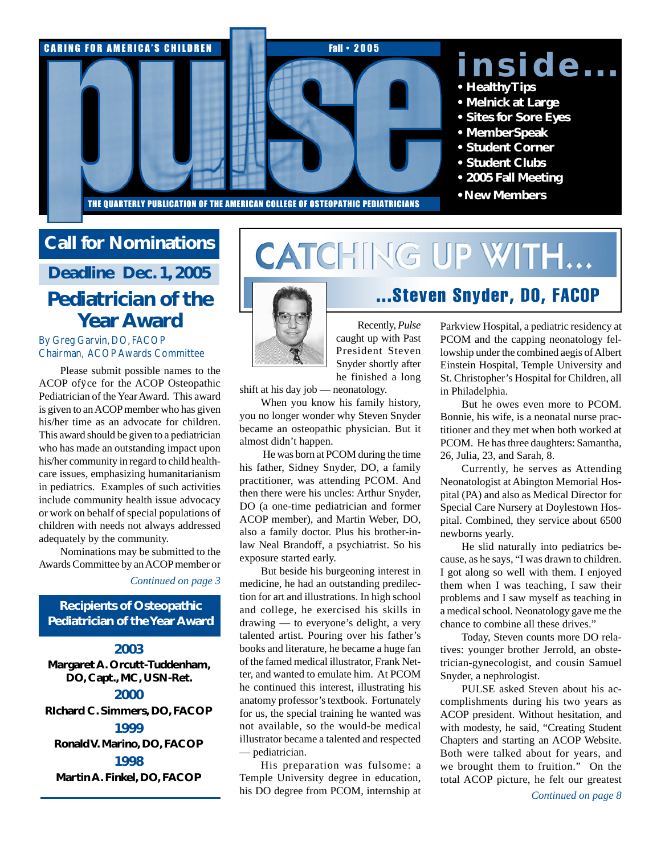

### **Call for Nominations**

**Deadline Dec. 1, 2005**

## **Pediatrician of the Year Award**

#### By Greg Garvin, DO, FACOP Chairman, ACOP Awards Committee

Please submit possible names to the ACOP office for the ACOP Osteopathic Pediatrician of the Year Award. This award is given to an ACOP member who has given his/her time as an advocate for children. This award should be given to a pediatrician who has made an outstanding impact upon his/her community in regard to child healthcare issues, emphasizing humanitarianism in pediatrics. Examples of such activities include community health issue advocacy or work on behalf of special populations of children with needs not always addressed adequately by the community.

Nominations may be submitted to the Awards Committee by an ACOP member or

*Continued on page 3*

#### **Recipients of Osteopathic Pediatrician of theYear Award**

#### **2003**

**Margaret A. Orcutt-Tuddenham, DO, Capt., MC, USN-Ret.**

### **2000**

**RIchard C. Simmers, DO, FACOP 1999 RonaldV. Marino, DO, FACOP 1998**

**Martin A. Finkel, DO, FACOP**

# CATCHING UP WITH...



Recently, *Pulse* caught up with Past President Steven Snyder shortly after he finished a long

shift at his day job — neonatology.

When you know his family history, you no longer wonder why Steven Snyder became an osteopathic physician. But it almost didn't happen.

 He was born at PCOM during the time his father, Sidney Snyder, DO, a family practitioner, was attending PCOM. And then there were his uncles: Arthur Snyder, DO (a one-time pediatrician and former ACOP member), and Martin Weber, DO, also a family doctor. Plus his brother-inlaw Neal Brandoff, a psychiatrist. So his exposure started early.

But beside his burgeoning interest in medicine, he had an outstanding predilection for art and illustrations. In high school and college, he exercised his skills in drawing — to everyone's delight, a very talented artist. Pouring over his father's books and literature, he became a huge fan of the famed medical illustrator, Frank Netter, and wanted to emulate him. At PCOM he continued this interest, illustrating his anatomy professor's textbook. Fortunately for us, the special training he wanted was not available, so the would-be medical illustrator became a talented and respected — pediatrician.

His preparation was fulsome: a Temple University degree in education, his DO degree from PCOM, internship at

# ...Steven Snyder, DO, FACOP

Parkview Hospital, a pediatric residency at PCOM and the capping neonatology fellowship under the combined aegis of Albert Einstein Hospital, Temple University and St. Christopher's Hospital for Children, all in Philadelphia.

But he owes even more to PCOM. Bonnie, his wife, is a neonatal nurse practitioner and they met when both worked at PCOM. He has three daughters: Samantha, 26, Julia, 23, and Sarah, 8.

Currently, he serves as Attending Neonatologist at Abington Memorial Hospital (PA) and also as Medical Director for Special Care Nursery at Doylestown Hospital. Combined, they service about 6500 newborns yearly.

He slid naturally into pediatrics because, as he says, "I was drawn to children. I got along so well with them. I enjoyed them when I was teaching, I saw their problems and I saw myself as teaching in a medical school. Neonatology gave me the chance to combine all these drives."

Today, Steven counts more DO relatives: younger brother Jerrold, an obstetrician-gynecologist, and cousin Samuel Snyder, a nephrologist.

PULSE asked Steven about his accomplishments during his two years as ACOP president. Without hesitation, and with modesty, he said, "Creating Student Chapters and starting an ACOP Website. Both were talked about for years, and we brought them to fruition." On the total ACOP picture, he felt our greatest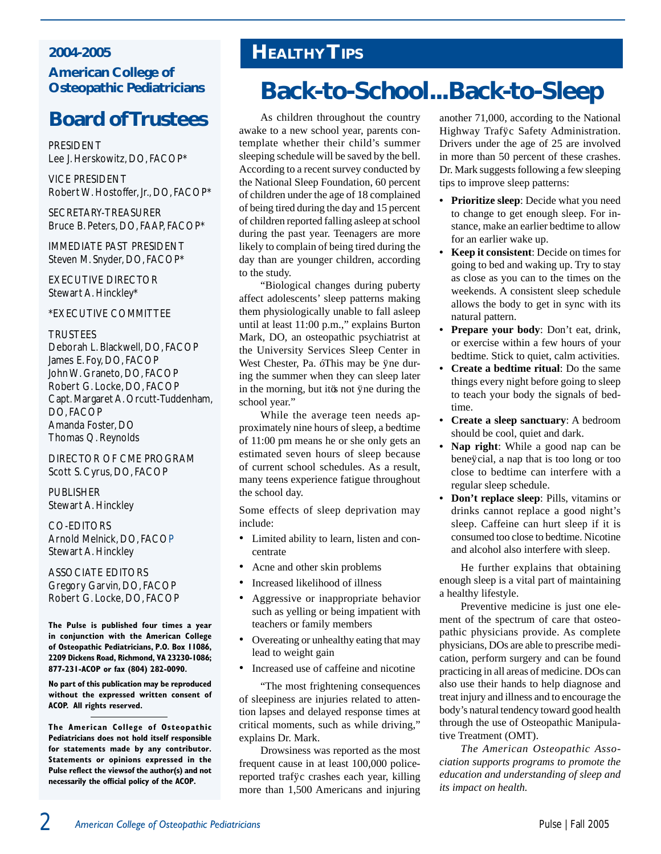#### **2004-2005 American College of Osteopathic Pediatricians**

## **Board ofTrustees**

**PRESIDENT** Lee J. Herskowitz, DO, FACOP\*

Vice President Robert W. Hostoffer, Jr., DO, FACOP\*

Secretary-Treasurer Bruce B. Peters, DO, FAAP, FACOP\*

Immediate Past President Steven M. Snyder, DO, FACOP\*

Executive Director Stewart A. Hinckley\*

\*EXECUTIVE COMMITTEE

#### **TRUSTEES**

Deborah L. Blackwell, DO, FACOP James E. Foy, DO, FACOP John W. Graneto, DO, FACOP Robert G. Locke, DO, FACOP Capt. Margaret A. Orcutt-Tuddenham, DO, FACOP Amanda Foster, DO Thomas Q. Reynolds

Director of CME Program Scott S. Cyrus, DO, FACOP

PUBLISHER Stewart A. Hinckley

Co-Editors Arnold Melnick, DO, FACOP Stewart A. Hinckley

ASSOCIATE EDITORS Gregory Garvin, DO, FACOP Robert G. Locke, DO, FACOP

**The Pulse is published four times a year in conjunction with the American College of Osteopathic Pediatricians, P.O. Box 11086, 2209 Dickens Road, Richmond, VA 23230-1086; 877-231-ACOP or fax (804) 282-0090.**

**No part of this publication may be reproduced without the expressed written consent of ACOP. All rights reserved.**

**The American College of Osteopathic Pediatricians does not hold itself responsible for statements made by any contributor. Statements or opinions expressed in the Pulse reflect the viewsof the author(s) and not necessarily the official policy of the ACOP.**

## **HealthyTips**

# **Back-to-School...Back-to-Sleep**

As children throughout the country awake to a new school year, parents contemplate whether their child's summer sleeping schedule will be saved by the bell. According to a recent survey conducted by the National Sleep Foundation, 60 percent of children under the age of 18 complained of being tired during the day and 15 percent of children reported falling asleep at school during the past year. Teenagers are more likely to complain of being tired during the day than are younger children, according to the study.

"Biological changes during puberty affect adolescents' sleep patterns making them physiologically unable to fall asleep until at least 11:00 p.m.," explains Burton Mark, DO, an osteopathic psychiatrist at the University Services Sleep Center in West Chester, Pa. "This may be fine during the summer when they can sleep later in the morning, but it's not fine during the school year."

While the average teen needs approximately nine hours of sleep, a bedtime of 11:00 pm means he or she only gets an estimated seven hours of sleep because of current school schedules. As a result, many teens experience fatigue throughout the school day.

Some effects of sleep deprivation may include:

- Limited ability to learn, listen and concentrate
- Acne and other skin problems
- Increased likelihood of illness
- Aggressive or inappropriate behavior such as yelling or being impatient with teachers or family members
- Overeating or unhealthy eating that may lead to weight gain
- Increased use of caffeine and nicotine

"The most frightening consequences of sleepiness are injuries related to attention lapses and delayed response times at critical moments, such as while driving," explains Dr. Mark.

Drowsiness was reported as the most frequent cause in at least 100,000 policereported traffc crashes each year, killing more than 1,500 Americans and injuring another 71,000, according to the National Highway Traffc Safety Administration. Drivers under the age of 25 are involved in more than 50 percent of these crashes. Dr. Mark suggests following a few sleeping tips to improve sleep patterns:

- **• Prioritize sleep**: Decide what you need to change to get enough sleep. For instance, make an earlier bedtime to allow for an earlier wake up.
- **Keep it consistent**: Decide on times for going to bed and waking up. Try to stay as close as you can to the times on the weekends. A consistent sleep schedule allows the body to get in sync with its natural pattern.
- **Prepare your body:** Don't eat, drink, or exercise within a few hours of your bedtime. Stick to quiet, calm activities.
- **• Create a bedtime ritual**: Do the same things every night before going to sleep to teach your body the signals of bedtime.
- **• Create a sleep sanctuary**: A bedroom should be cool, quiet and dark.
- **Nap right**: While a good nap can be beneficial, a nap that is too long or too close to bedtime can interfere with a regular sleep schedule.
- **Don't replace sleep**: Pills, vitamins or drinks cannot replace a good night's sleep. Caffeine can hurt sleep if it is consumed too close to bedtime. Nicotine and alcohol also interfere with sleep.

He further explains that obtaining enough sleep is a vital part of maintaining a healthy lifestyle.

Preventive medicine is just one element of the spectrum of care that osteopathic physicians provide. As complete physicians, DOs are able to prescribe medication, perform surgery and can be found practicing in all areas of medicine. DOs can also use their hands to help diagnose and treat injury and illness and to encourage the body's natural tendency toward good health through the use of Osteopathic Manipulative Treatment (OMT).

*The American Osteopathic Association supports programs to promote the education and understanding of sleep and its impact on health.*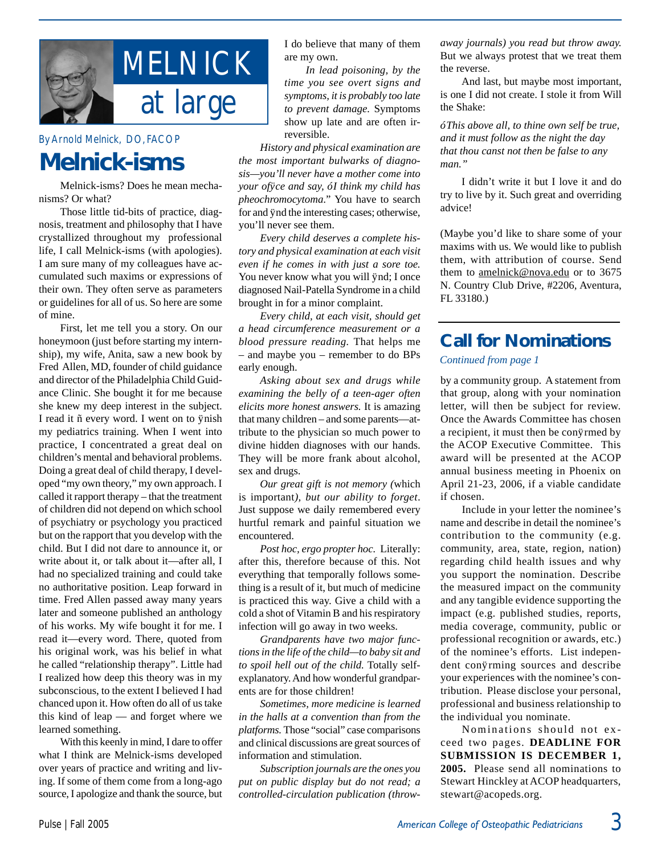

#### By Arnold Melnick, DO, FACOP

## **Melnick-isms**

Melnick-isms? Does he mean mechanisms? Or what?

Those little tid-bits of practice, diagnosis, treatment and philosophy that I have crystallized throughout my professional life, I call Melnick-isms (with apologies). I am sure many of my colleagues have accumulated such maxims or expressions of their own. They often serve as parameters or guidelines for all of us. So here are some of mine.

First, let me tell you a story. On our honeymoon (just before starting my internship), my wife, Anita, saw a new book by Fred Allen, MD, founder of child guidance and director of the Philadelphia Child Guidance Clinic. She bought it for me because she knew my deep interest in the subject. I read it – every word. I went on to finish my pediatrics training. When I went into practice, I concentrated a great deal on children's mental and behavioral problems. Doing a great deal of child therapy, I developed "my own theory," my own approach. I called it rapport therapy – that the treatment of children did not depend on which school of psychiatry or psychology you practiced but on the rapport that you develop with the child. But I did not dare to announce it, or write about it, or talk about it—after all, I had no specialized training and could take no authoritative position. Leap forward in time. Fred Allen passed away many years later and someone published an anthology of his works. My wife bought it for me. I read it—every word. There, quoted from his original work, was his belief in what he called "relationship therapy". Little had I realized how deep this theory was in my subconscious, to the extent I believed I had chanced upon it. How often do all of us take this kind of leap — and forget where we learned something.

With this keenly in mind, I dare to offer what I think are Melnick-isms developed over years of practice and writing and living. If some of them come from a long-ago source, I apologize and thank the source, but I do believe that many of them are my own.

*In lead poisoning, by the time you see overt signs and symptoms, it is probably too late to prevent damage.* Symptoms show up late and are often irreversible.

*History and physical examination are the most important bulwarks of diagnosis—you'll never have a mother come into your office and say, "I think my child has pheochromocytoma*." You have to search for and find the interesting cases; otherwise, you'll never see them.

*Every child deserves a complete history and physical examination at each visit even if he comes in with just a sore toe.*  You never know what you will fnd; I once diagnosed Nail-Patella Syndrome in a child brought in for a minor complaint.

*Every child, at each visit, should get a head circumference measurement or a blood pressure reading.* That helps me – and maybe you – remember to do BPs early enough.

*Asking about sex and drugs while examining the belly of a teen-ager often elicits more honest answers.* It is amazing that many children – and some parents—attribute to the physician so much power to divine hidden diagnoses with our hands. They will be more frank about alcohol, sex and drugs.

*Our great gift is not memory (*which is important*), but our ability to forget*. Just suppose we daily remembered every hurtful remark and painful situation we encountered.

*Post hoc, ergo propter hoc.* Literally: after this, therefore because of this. Not everything that temporally follows something is a result of it, but much of medicine is practiced this way. Give a child with a cold a shot of Vitamin B and his respiratory infection will go away in two weeks.

*Grandparents have two major functions in the life of the child—to baby sit and to spoil hell out of the child.* Totally selfexplanatory. And how wonderful grandparents are for those children!

*Sometimes, more medicine is learned in the halls at a convention than from the platforms.* Those "social" case comparisons and clinical discussions are great sources of information and stimulation.

*Subscription journals are the ones you put on public display but do not read; a controlled-circulation publication (throw-* *away journals) you read but throw away.*  But we always protest that we treat them the reverse.

And last, but maybe most important, is one I did not create. I stole it from Will the Shake:

*"This above all, to thine own self be true, and it must follow as the night the day that thou canst not then be false to any man."*

I didn't write it but I love it and do try to live by it. Such great and overriding advice!

(Maybe you'd like to share some of your maxims with us. We would like to publish them, with attribution of course. Send them to amelnick@nova.edu or to 3675 N. Country Club Drive, #2206, Aventura, FL 33180.)

### **Call for Nominations**

*Continued from page 1*

by a community group. A statement from that group, along with your nomination letter, will then be subject for review. Once the Awards Committee has chosen a recipient, it must then be confirmed by the ACOP Executive Committee. This award will be presented at the ACOP annual business meeting in Phoenix on April 21-23, 2006, if a viable candidate if chosen.

Include in your letter the nominee's name and describe in detail the nominee's contribution to the community (e.g. community, area, state, region, nation) regarding child health issues and why you support the nomination. Describe the measured impact on the community and any tangible evidence supporting the impact (e.g. published studies, reports, media coverage, community, public or professional recognition or awards, etc.) of the nominee's efforts. List independent confirming sources and describe your experiences with the nominee's contribution. Please disclose your personal, professional and business relationship to the individual you nominate.

Nominations should not exceed two pages. **DEADLINE FOR SUBMISSION IS DECEMBER 1, 2005.** Please send all nominations to Stewart Hinckley at ACOP headquarters, stewart@acopeds.org.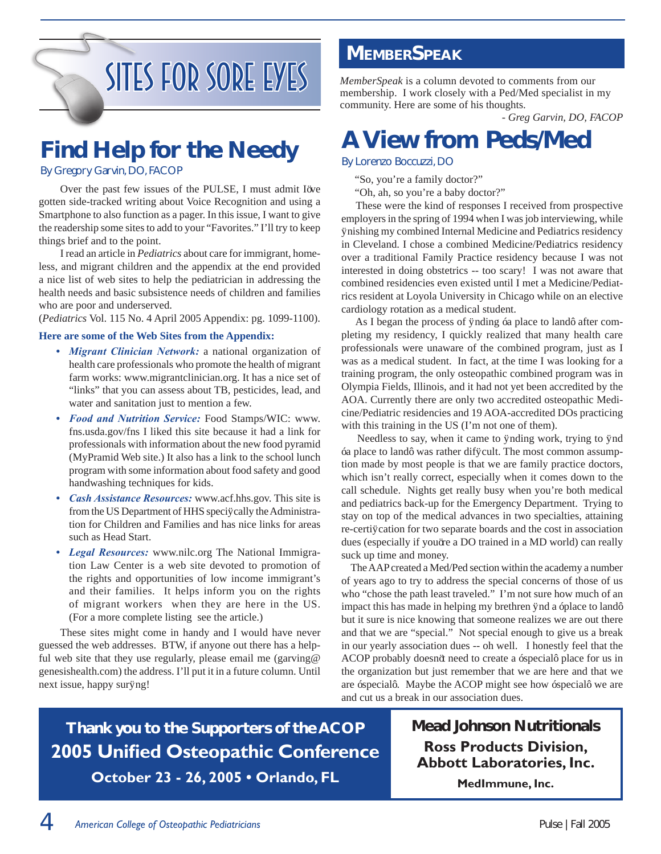# SITES FOR SORE EYES MemberSpeak is a column devoted to comments from our

# **Find Help for the Needy**

#### By Gregory Garvin, DO, FACOP

Over the past few issues of the PULSE, I must admit I've gotten side-tracked writing about Voice Recognition and using a Smartphone to also function as a pager. In this issue, I want to give the readership some sites to add to your "Favorites." I'll try to keep things brief and to the point.

I read an article in *Pediatrics* about care for immigrant, homeless, and migrant children and the appendix at the end provided a nice list of web sites to help the pediatrician in addressing the health needs and basic subsistence needs of children and families who are poor and underserved.

(*Pediatrics* Vol. 115 No. 4 April 2005 Appendix: pg. 1099-1100).

#### **Here are some of the Web Sites from the Appendix:**

- Migrant Clinician Network: a national organization of health care professionals who promote the health of migrant farm works: www.migrantclinician.org. It has a nice set of "links" that you can assess about TB, pesticides, lead, and water and sanitation just to mention a few.
- *Food and Nutrition Service:* Food Stamps/WIC: www. fns.usda.gov/fns I liked this site because it had a link for professionals with information about the new food pyramid (MyPramid Web site.) It also has a link to the school lunch program with some information about food safety and good handwashing techniques for kids. *•*
- *Cash Assistance Resources:* www.acf.hhs.gov. This site is from the US Department of HHS specifically the Administration for Children and Families and has nice links for areas such as Head Start. *•*
- *Legal Resources:* www.nilc.org The National Immigra-*•* tion Law Center is a web site devoted to promotion of the rights and opportunities of low income immigrant's and their families. It helps inform you on the rights of migrant workers when they are here in the US. (For a more complete listing see the article.)

These sites might come in handy and I would have never guessed the web addresses. BTW, if anyone out there has a helpful web site that they use regularly, please email me (garving@ genesishealth.com) the address. I'll put it in a future column. Until next issue, happy surfing!

### **MEMBERSPEAK**

membership. I work closely with a Ped/Med specialist in my community. Here are some of his thoughts.

*- Greg Garvin, DO, FACOP*

# **A View from Peds/Med**

#### By Lorenzo Boccuzzi, DO

"So, you're a family doctor?"

"Oh, ah, so you're a baby doctor?"

 These were the kind of responses I received from prospective employers in the spring of 1994 when I was job interviewing, while finishing my combined Internal Medicine and Pediatrics residency in Cleveland. I chose a combined Medicine/Pediatrics residency over a traditional Family Practice residency because I was not interested in doing obstetrics -- too scary! I was not aware that combined residencies even existed until I met a Medicine/Pediatrics resident at Loyola University in Chicago while on an elective cardiology rotation as a medical student.

 As I began the process of finding "a place to land" after completing my residency, I quickly realized that many health care professionals were unaware of the combined program, just as I was as a medical student. In fact, at the time I was looking for a training program, the only osteopathic combined program was in Olympia Fields, Illinois, and it had not yet been accredited by the AOA. Currently there are only two accredited osteopathic Medicine/Pediatric residencies and 19 AOA-accredited DOs practicing with this training in the US (I'm not one of them).

 Needless to say, when it came to finding work, trying to find "a place to land" was rather difficult. The most common assumption made by most people is that we are family practice doctors, which isn't really correct, especially when it comes down to the call schedule. Nights get really busy when you're both medical and pediatrics back-up for the Emergency Department. Trying to stay on top of the medical advances in two specialties, attaining re-certification for two separate boards and the cost in association dues (especially if you're a DO trained in a MD world) can really suck up time and money.

 The AAP created a Med/Ped section within the academy a number of years ago to try to address the special concerns of those of us who "chose the path least traveled." I'm not sure how much of an impact this has made in helping my brethren find a "place to land" but it sure is nice knowing that someone realizes we are out there and that we are "special." Not special enough to give us a break in our yearly association dues -- oh well. I honestly feel that the ACOP probably doesn't need to create a "special" place for us in the organization but just remember that we are here and that we are "special". Maybe the ACOP might see how "special" we are and cut us a break in our association dues.

**Thank you to the Supporters of the ACOP 2005 Unified Osteopathic Conference October 23 - 26, 2005 • Orlando, FL**

### **Mead Johnson Nutritionals Ross Products Division, Abbott Laboratories, Inc.**

**MedImmune, Inc.**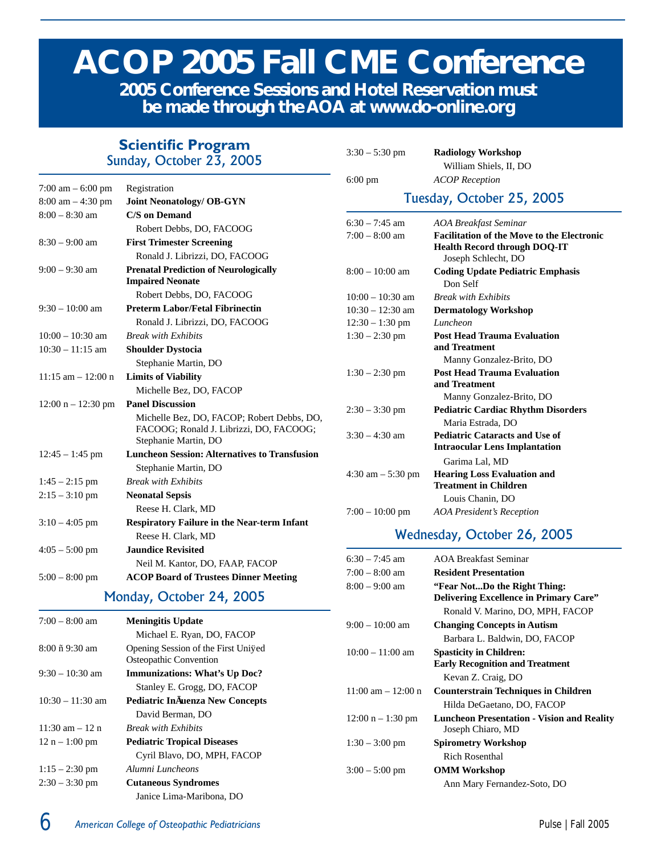# **ACOP 2005 Fall CME Conference**

**2005 Conference Sessions and Hotel Reservation must be made through the AOA at www.do-online.org**

### **Scientific Program**

Sunday, October 23, 2005

7:00 am – 6:00 pm Registration 8:00 am – 4:30 pm **Joint Neonatology/ OB-GYN** 8:00 – 8:30 am **C/S on Demand** Robert Debbs, DO, FACOOG 8:30 – 9:00 am **First Trimester Screening** Ronald J. Librizzi, DO, FACOOG 9:00 – 9:30 am **Prenatal Prediction of Neurologically Impaired Neonate** Robert Debbs, DO, FACOOG 9:30 – 10:00 am **Preterm Labor/Fetal Fibrinectin** Ronald J. Librizzi, DO, FACOOG 10:00 – 10:30 am *Break with Exhibits* 10:30 – 11:15 am **Shoulder Dystocia** Stephanie Martin, DO 11:15 am – 12:00 n **Limits of Viability** Michelle Bez, DO, FACOP 12:00 n – 12:30 pm **Panel Discussion** Michelle Bez, DO, FACOP; Robert Debbs, DO, FACOOG; Ronald J. Librizzi, DO, FACOOG; Stephanie Martin, DO 12:45 – 1:45 pm **Luncheon Session: Alternatives to Transfusion** Stephanie Martin, DO 1:45 – 2:15 pm *Break with Exhibits* 2:15 – 3:10 pm **Neonatal Sepsis** Reese H. Clark, MD 3:10 – 4:05 pm **Respiratory Failure in the Near-term Infant** Reese H. Clark, MD 4:05 – 5:00 pm **Jaundice Revisited** Neil M. Kantor, DO, FAAP, FACOP 5:00 – 8:00 pm **ACOP Board of Trustees Dinner Meeting**

#### Monday, October 24, 2005

| $7:00 - 8:00$ am   | <b>Meningitis Update</b>                                      |  |
|--------------------|---------------------------------------------------------------|--|
|                    | Michael E. Ryan, DO, FACOP                                    |  |
| $8:00 - 9:30$ am   | Opening Session of the First Unifed<br>Osteopathic Convention |  |
| $9:30 - 10:30$ am  | <b>Immunizations: What's Up Doc?</b>                          |  |
|                    | Stanley E. Grogg, DO, FACOP                                   |  |
| $10:30 - 11:30$ am | <b>Pediatric Infuenza New Concepts</b>                        |  |
|                    | David Berman, DO                                              |  |
| $11:30$ am $-12$ n | <b>Break with Exhibits</b>                                    |  |
| $12 n - 1:00 pm$   | <b>Pediatric Tropical Diseases</b>                            |  |
|                    | Cyril Blavo, DO, MPH, FACOP                                   |  |
| $1:15 - 2:30$ pm   | Alumni Luncheons                                              |  |
| $2:30 - 3:30$ pm   | <b>Cutaneous Syndromes</b>                                    |  |
|                    | Janice Lima-Maribona, DO                                      |  |

### 6:00 pm *ACOP Reception*

3:30 – 5:30 pm **Radiology Workshop** William Shiels, II, DO

#### Tuesday, October 25, 2005

| $6:30 - 7:45$ am     | AOA Breakfast Seminar                                                                                           |
|----------------------|-----------------------------------------------------------------------------------------------------------------|
| $7:00 - 8:00$ am     | <b>Facilitation of the Move to the Electronic</b><br><b>Health Record through DOQ-IT</b><br>Joseph Schlecht, DO |
| $8:00 - 10:00$ am    | <b>Coding Update Pediatric Emphasis</b><br>Don Self                                                             |
| $10:00 - 10:30$ am   | <b>Break with Exhibits</b>                                                                                      |
| $10:30 - 12:30$ am   | <b>Dermatology Workshop</b>                                                                                     |
| $12:30 - 1:30$ pm    | Luncheon                                                                                                        |
| $1:30 - 2:30$ pm     | <b>Post Head Trauma Evaluation</b><br>and Treatment<br>Manny Gonzalez-Brito, DO                                 |
| $1:30 - 2:30$ pm     | <b>Post Head Trauma Evaluation</b><br>and Treatment                                                             |
| $2:30 - 3:30$ pm     | Manny Gonzalez-Brito, DO<br><b>Pediatric Cardiac Rhythm Disorders</b><br>Maria Estrada, DO                      |
| $3:30 - 4:30$ am     | <b>Pediatric Cataracts and Use of</b><br><b>Intraocular Lens Implantation</b>                                   |
| $4:30$ am $-5:30$ pm | Garima Lal. MD<br><b>Hearing Loss Evaluation and</b><br><b>Treatment in Children</b>                            |
|                      | Louis Chanin, DO                                                                                                |
| $7:00-10:00$ pm      | <b>AOA President's Reception</b>                                                                                |

#### Wednesday, October 26, 2005

| 6:30 – 7:45 am         | <b>AOA Breakfast Seminar</b>                                           |
|------------------------|------------------------------------------------------------------------|
| 7:00 – 8:00 am         | <b>Resident Presentation</b>                                           |
| 8:00 – 9:00 am         | "Fear NotDo the Right Thing:                                           |
|                        | <b>Delivering Excellence in Primary Care"</b>                          |
|                        | Ronald V. Marino, DO, MPH, FACOP                                       |
| 9:00 – 10:00 am        | <b>Changing Concepts in Autism</b>                                     |
|                        | Barbara L. Baldwin, DO, FACOP                                          |
| $10:00 - 11:00$ am     | <b>Spasticity in Children:</b>                                         |
|                        | <b>Early Recognition and Treatment</b>                                 |
|                        | Kevan Z. Craig, DO                                                     |
| $11:00$ am $- 12:00$ n | <b>Counterstrain Techniques in Children</b>                            |
|                        | Hilda DeGaetano, DO, FACOP                                             |
| $12:00 n - 1:30 pm$    | <b>Luncheon Presentation - Vision and Reality</b><br>Joseph Chiaro, MD |
| $1:30 - 3:00$ pm       | <b>Spirometry Workshop</b>                                             |
|                        | Rich Rosenthal                                                         |
| $3:00 - 5:00$ pm       | <b>OMM Workshop</b>                                                    |
|                        | Ann Mary Fernandez-Soto, DO                                            |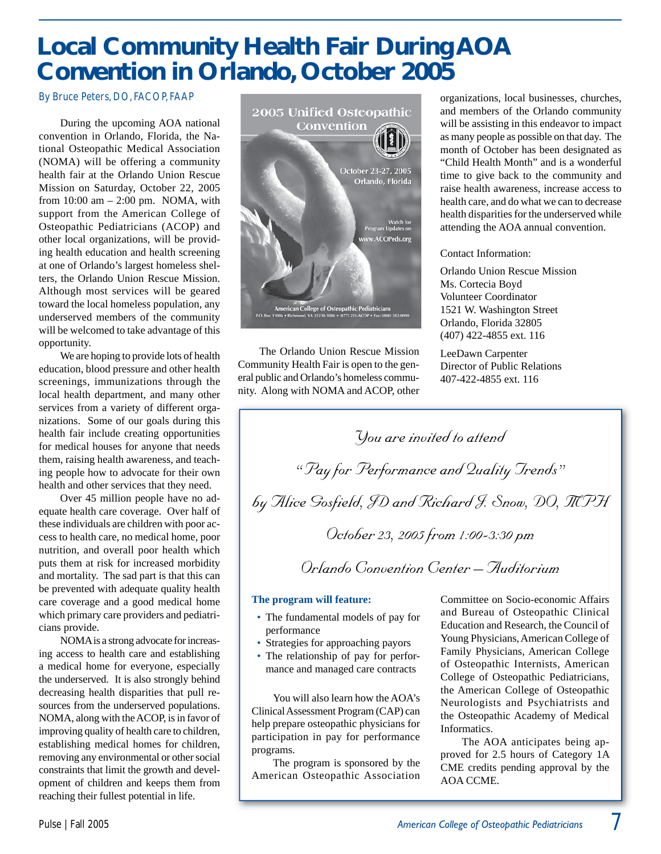# **Local Community Health Fair During AOA Convention in Orlando, October 2005**

#### By Bruce Peters, DO, FACOP, FAAP

During the upcoming AOA national convention in Orlando, Florida, the National Osteopathic Medical Association (NOMA) will be offering a community health fair at the Orlando Union Rescue Mission on Saturday, October 22, 2005 from 10:00 am – 2:00 pm. NOMA, with support from the American College of Osteopathic Pediatricians (ACOP) and other local organizations, will be providing health education and health screening at one of Orlando's largest homeless shelters, the Orlando Union Rescue Mission. Although most services will be geared toward the local homeless population, any underserved members of the community will be welcomed to take advantage of this opportunity.

We are hoping to provide lots of health education, blood pressure and other health screenings, immunizations through the local health department, and many other services from a variety of different organizations. Some of our goals during this health fair include creating opportunities for medical houses for anyone that needs them, raising health awareness, and teaching people how to advocate for their own health and other services that they need.

Over 45 million people have no adequate health care coverage. Over half of these individuals are children with poor access to health care, no medical home, poor nutrition, and overall poor health which puts them at risk for increased morbidity and mortality. The sad part is that this can be prevented with adequate quality health care coverage and a good medical home which primary care providers and pediatricians provide.

NOMA is a strong advocate for increasing access to health care and establishing a medical home for everyone, especially the underserved. It is also strongly behind decreasing health disparities that pull resources from the underserved populations. NOMA, along with the ACOP, is in favor of improving quality of health care to children, establishing medical homes for children, removing any environmental or other social constraints that limit the growth and development of children and keeps them from reaching their fullest potential in life.



The Orlando Union Rescue Mission Community Health Fair is open to the general public and Orlando's homeless community. Along with NOMA and ACOP, other organizations, local businesses, churches, and members of the Orlando community will be assisting in this endeavor to impact as many people as possible on that day. The month of October has been designated as "Child Health Month" and is a wonderful time to give back to the community and raise health awareness, increase access to health care, and do what we can to decrease health disparities for the underserved while attending the AOA annual convention.

Contact Information:

Orlando Union Rescue Mission Ms. Cortecia Boyd Volunteer Coordinator 1521 W. Washington Street Orlando, Florida 32805 (407) 422-4855 ext. 116

LeeDawn Carpenter Director of Public Relations 407-422-4855 ext. 116

*You are invited to attend "Pay for Performance and Quality Trends" by Alice Gosfi eld, JD and Richard J. Snow, DO, MPH October 23, 2005 from 1:00-3:30 pm*

*Orlando Convention Center – Auditorium*

#### **The program will feature:**

- The fundamental models of pay for performance
- Strategies for approaching payors
- The relationship of pay for performance and managed care contracts

You will also learn how the AOA's Clinical Assessment Program (CAP) can help prepare osteopathic physicians for participation in pay for performance programs.

The program is sponsored by the American Osteopathic Association Committee on Socio-economic Affairs and Bureau of Osteopathic Clinical Education and Research, the Council of Young Physicians, American College of Family Physicians, American College of Osteopathic Internists, American College of Osteopathic Pediatricians, the American College of Osteopathic Neurologists and Psychiatrists and the Osteopathic Academy of Medical Informatics.

The AOA anticipates being approved for 2.5 hours of Category 1A CME credits pending approval by the AOA CCME.